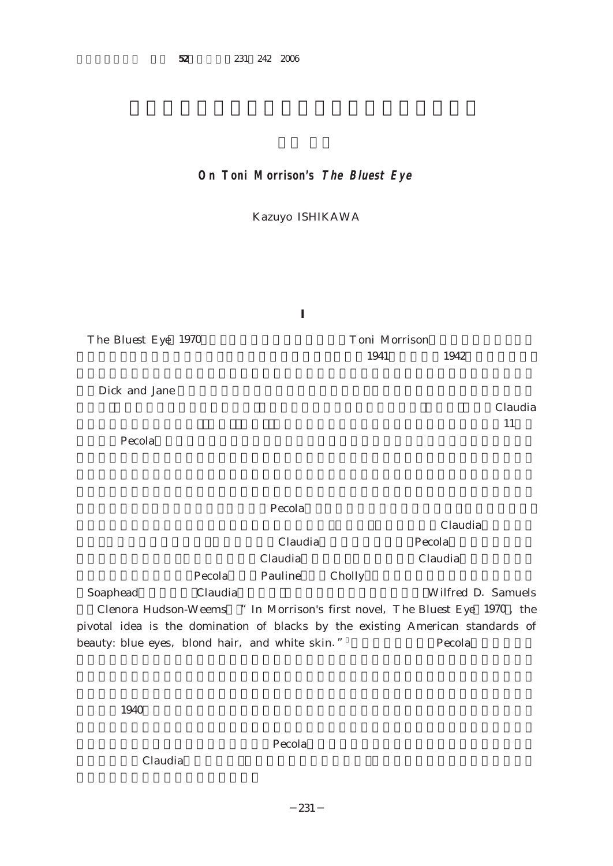# **O n T oni M orrison's <sup>T</sup> he Bluest Eye**

Kazuyo ISHIKAW A

*The Bluest Eye* (1970) Toni Morrison  $1941$  1942

Dick and Jane

トルペン Pecola しゃくしょう こうしょう こうしゅうしょう こうしゅうしょう こうしゅうしゅう こうしゅうしょう

 $\textbf{Pecola}$ 

 $\bf C$ laudia $\bf C$ laudia 開し、子供の頃の出来事を、大人になったClaudiaが回想する形式で、Pecolaの悲劇がどのよう claudia contraction claudia contraction claudia claudia contraction claudia **Pecola Pauline Cholly アメリカ** Soaphead Claudia Claudia **Claudia** Claudia **Example A Claudia** Clenora Hudson-Weems <sup>"</sup> In Morrison's first novel, *The Bluest Eye* 1970, the pivotal idea is the domination of blacks by the existing American standards of

beauty: blue eyes, blond hair, and white skin." Pecola

 $1940$ 

 $\bf{Precola}$ 

diaudia しかしている こうしょうかい こうしょうかい こうしゅうしゅう こうしゅうしょう

 $\alpha$  and  $\alpha$  is the contract of  $\alpha$  in the contract of  $\alpha$  is the contract of  $\alpha$  in the contract of  $\alpha$  $\overline{a}$  11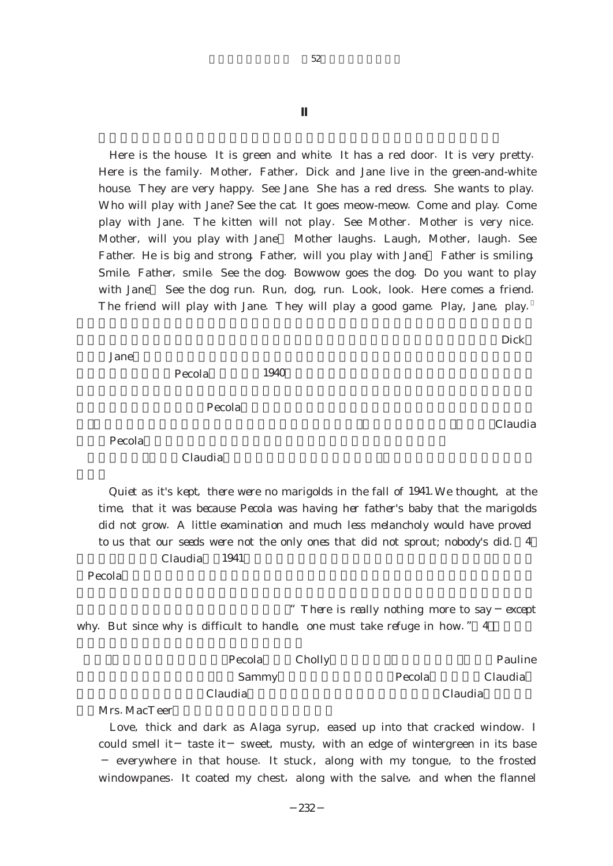Here is the house. It is green and white. It has a red door. It is very pretty. Here is the family. Mother, Father, Dick and Jane live in the green-and-white house. T hey are very happy. See Jane. She has a red dress. She wants to play. W ho will play with Jane? See the cat. It goes meow-meow. Come and play. Come play with Jane. The kitten will not play. See Mother. Mother is very nice. Mother, will you play with Jane Mother laughs. Laugh, Mother, laugh. See Father. He is big and strong. Father, will you play with Jane Father is smiling. Smile, Father, smile. See the dog. Bowwow goes the dog. Do you want to play with Jane See the dog run. Run, dog, run. Look, look. Here comes a friend. The friend will play with Jane. They will play a good game. Play, Jane, play.

 $\rm{Dick}$ 

 $\rm{Jane}$ 

<u>Pecola</u> a 1940年代にアメリカ人の話を含めて、この話を含めて、この話を含めて、この話を含めて、この話を含めて、この話に、

語の間のスペースも消え、Pecolaが求める理想の家族像が崩壊するのを暗示するかのようであ

ecola and the pecolal state  $\mathbb{R}$  and  $\mathbb{R}$  and  $\mathbb{R}$  and  $\mathbb{R}$  and  $\mathbb{R}$  and  $\mathbb{R}$  and  $\mathbb{R}$  and  $\mathbb{R}$  and  $\mathbb{R}$  and  $\mathbb{R}$  and  $\mathbb{R}$  and  $\mathbb{R}$  and  $\mathbb{R}$  and  $\mathbb{R}$  and  $\mathbb{R}$  and

#### claudia しょうこうか こうしょう こうしょう こうしょうしゅう こうしゅうしょう

*Quiet as it's kept*, *there were no marigolds in the fall of* 1941.*W e thought*, *at the time*, *that it was because Pecola was having her father's baby that the marigolds did not grow*. *A little examination and much less melancholy would have proved to us that our seeds were not the only ones that did not sprout; nobody's did*.(4) claudia 1941

Pecola が、どこには、それには、それには、どこのマリゴールドの種も芽を出さない。

自体の不毛さであったことを語り、最後に、"*T here is really nothing more to say except why. But since why is difficult to handle, one must take refuge in how.*" 4

| Pecola  | Cholly |         | Pauline |
|---------|--------|---------|---------|
| Sammy   |        | Pecola  | Claudia |
| Claudia |        | Claudia |         |

Mrs. MacTeer

Love, thick and dark as Alaga syrup, eased up into that cracked window. I could smell it taste it sweet, musty, with an edge of wintergreen in its base everywhere in that house. It stuck, along with my tongue, to the frosted windowpanes. It coated my chest, along with the salve, and when the flannel

 $\alpha$  and  $\alpha$  and  $\alpha$  and  $\alpha$  and  $\alpha$  and  $\alpha$  claudia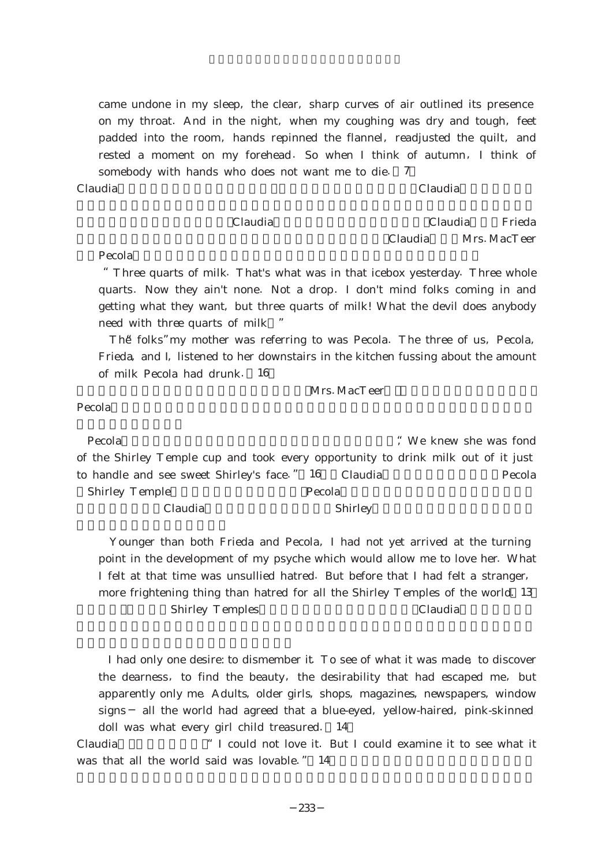came undone in my sleep, the clear, sharp curves of air outlined its presence on my throat. And in the night, when my coughing was dry and tough, feet padded into the room, hands repinned the flannel, readjusted the quilt, and rested a moment on my forehead. So when I think of autumn, I think of somebody with hands who does not want me to die. 7 Claudia さんなん ことには こうしょう こうしょう こうしょう こうしょうしゅう こうしょうしょう

<u>Claudia</u>のようなことにはないが、Claudiaはないが、Claudiaはないが、これはないが、Claudiaはない。 Claudia Mrs. MacTeer

は、Pecolaが3クォートのミルクを飲んでしまった時には、憤慨して文句を言う。

"T hree quarts of milk. T hat's what was *in* that icebox yesterday. T hree whole quarts. Now they ain't none. Not a drop. I don't mind folks coming in and getting what they want, but three quarts of milk! W hat the devil does *any*body need with *three* quarts of milk

The folks" my mother was referring to was Pecola. The three of us, Pecola, Frieda, and I, listened to her downstairs in the kitchen fussing about the amount of milk Pecola had drunk.(16)

Mrs. MacTeer

Pecola a contractor was general as well as a contractor was determined by the contractor of  $\mathcal{P}$ 

Pecola 2008 Pecola 2009 Pecola 2009 Pecola 2009 Pecola 2009 Pecola 2009 Pecola 2009 Pecola 2009 Pecola 2009 Pecola of the Shirley T emple cup and took every opportunity to drink milk out of it just to handle and see sweet Shirley's face." (16) Claudia Theory Becola Shirley Temple Pecola くちゃくしゃ Claudia しゃくしゃ Shirley こうしょう Shirley

Y ounger than both Frieda and Pecola, I had not yet arrived at the turning point in the development of my psyche which would allow me to love her. W hat I felt at that time was unsullied hatred. But before that I had felt a stranger, more frightening thing than hatred for all the Shirley Temples of the world. 13 Shirley Temples Claudia

I had only one desire: to dismember it. To see of what it was made, to discover the dearness, to find the beauty, the desirability that had escaped me, but apparently only me. Adults, older girls, shops, magazines, newspapers, window signs all the world had agreed that a blue-eyed, yellow-haired, pink-skinned doll was what every girl child treasured. 14

Claudia **Example 2** (1) The could not love it. But I could examine it to see what it was that all the world said was lovable." 14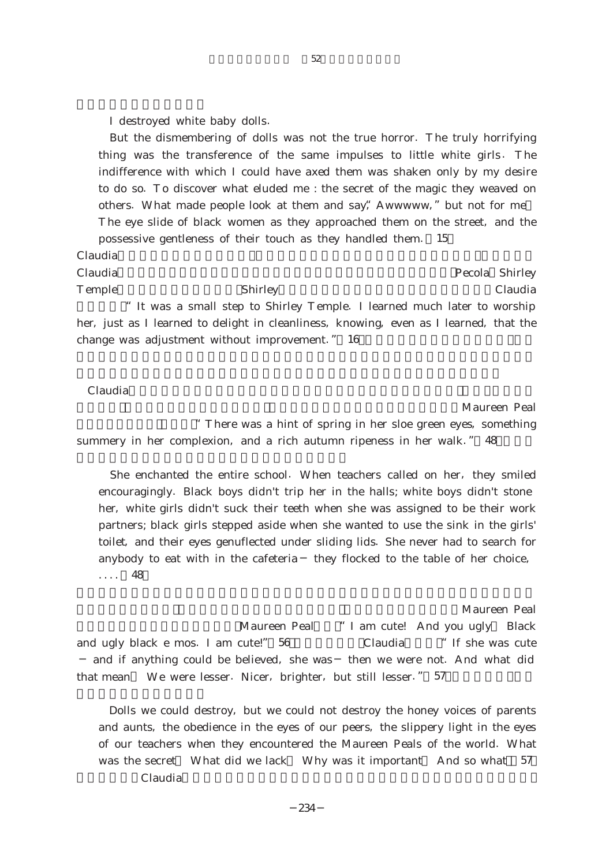I destroyed white baby dolls.

But the dismembering of dolls was not the true horror. The truly horrifying thing was the transference of the same impulses to little white girls. The indifference with which I could have axed them was shaken only by my desire to do so. To discover what eluded me : the secret of the magic they weaved on others. What made people look at them and say," Awwwww," but not for me T he eye slide of black women as they approached them on the street, and the possessive gentleness of their touch as they handled them. 15

Claudia **Claudia** T emple Shirley Shirley こちらしい Share こうしょう " It was a small step to Shirley T emple. I learned much later to worship her, just as I learned to delight in cleanliness, knowing, even as I learned, that the change was adjustment without improvement." 16

Claudia またかったのは、大人に日本当たちに日本当たちに日本当たちに日本当たちに日本当たちに日本当たちに日本当たちに日本当たちに日本当たちに日本当たちに日本当たちに日本当たちに日本当たちに日本当

#### Claudia アメリカには、「やまなどの美しいです」ということは、「やまなどの美しいです」ということはない。「やまなどの美しいです」ということはない。「ゃっとも

Maureen Peal " There was a hint of spring in her sloe green eyes, something summery in her complexion, and a rich autumn ripeness in her walk." 48

She enchanted the entire school. W hen teachers called on her, they smiled encouragingly. Black boys didn't trip her in the halls; white boys didn't stone her, white girls didn't suck their teeth when she was assigned to be their work partners; black girls stepped aside when she wanted to use the sink in the girls' toilet, and their eyes genuflected under sliding lids. She never had to search for anybody to eat with in the cafeteria they flocked to the table of her choice, ....(48)

Maureen Peal Maureen Peal  $\cdot$  T *am* cute! And you ugly Black and ugly black e mos. I *am* cute!" 56 Claudia " If she was cute and if anything could be believed, she *was* then we were not. And what did that mean We were lesser. Nicer, brighter, but still lesser." 57

Dolls we could destroy, but we could not destroy the honey voices of parents and aunts, the obedience in the eyes of our peers, the slippery light in the eyes of our teachers when they encountered the Maureen Peals of the world. W hat was the secret What did we lack Why was it important And so what 57  $Claudia$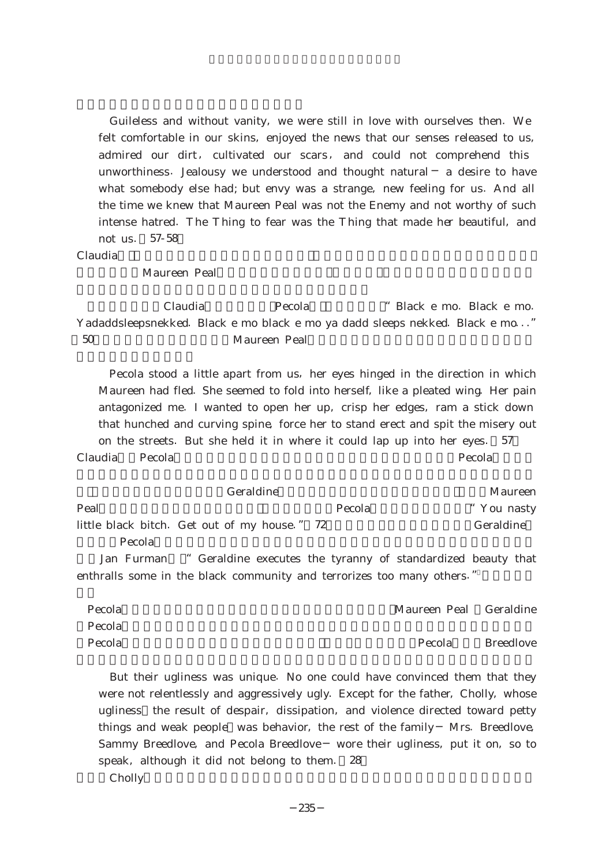Guileless and without vanity, we were still in love with ourselves then. We felt comfortable in our skins, enjoyed the news that our senses released to us, admired our dirt, cultivated our scars, and could not comprehend this unworthiness. Jealousy we understood and thought natural a desire to have what somebody else had; but envy was a strange, new feeling for us. And all the time we knew that Maureen Peal was not the Enemy and not worthy of such intense hatred. T he *T hing* to fear was the *T hing* that made *her* beautiful, and not us.(57-58)

Claudia またしているようになり、黒人としての自分になりました。またはなく、またはなく、またはなく、またはなく、またはなく、またはなく、またはなく、またはなく、またはなく、またはなく、またはなく

Maureen Peal

Claudia **Pecola** (Pecola Claudia e mo. Black e mo. Black e mo. Yadaddsleepsnekked. Black e mo black e mo ya dadd sleeps nekked. Black e mo..." for the Maureen Peal

Pecola stood a little apart from us, her eyes hinged in the direction in which Maureen had fled. She seemed to fold into herself, like a pleated wing. Her pain antagonized me. I wanted to open her up, crisp her edges, ram a stick down that hunched and curving spine, force her to stand erect and spit the misery out on the streets. But she held it in where it could lap up into her eyes. 57 Claudia Pecola さんじゅう アイスター・コンピュータ Pecola アイスター・コンピュータ Pecola

|                                              | Geraldine | Maureen              |
|----------------------------------------------|-----------|----------------------|
| Peal                                         |           | "You nasty<br>Pecola |
| little black bitch. Get out of my house." 72 |           | <b>Geraldine</b>     |
| Pecola                                       |           |                      |

Jan Furman <sup>"</sup> Geraldine executes the tyranny of standardized beauty that enthralls some in the black community and terrorizes too many others."

| Pecola | Maureen Peal Geraldine |                  |
|--------|------------------------|------------------|
| Pecola |                        |                  |
| Pecola | Pecola                 | <b>Breedlove</b> |

But their ugliness was unique. No one could have convinced them that they were not relentlessly and aggressively ugly. Except for the father, Cholly, whose ugliness the result of despair, dissipation, and violence directed toward petty things and weak people was behavior, the rest of the family Mrs. Breedlove, Sammy Breedlove, and Pecola Breedlove wore their ugliness, put it on, so to speak, although it did not belong to them. 28 Cholly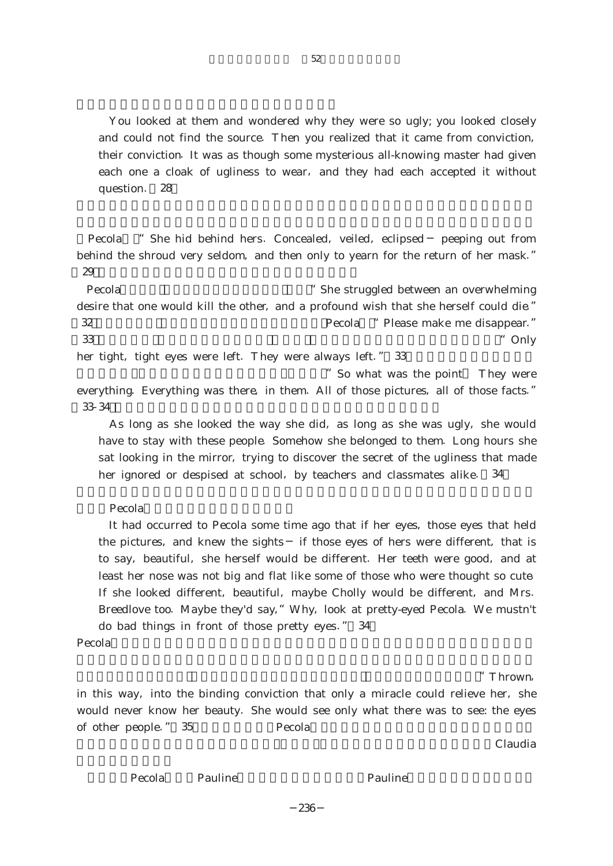$52$ 

You looked at them and wondered why they were so ugly; you looked closely and could not find the source. T hen you realized that it came from conviction, their conviction. It was as though some mysterious all-knowing master had given each one a cloak of ugliness to wear, and they had each accepted it without question. 28

Pecola " She hid behind hers. Concealed, veiled, eclipsed peeping out from behind the shroud very seldom, and then only to yearn for the return of her mask."  $\chi$ 9

Pecola **Between an** overwhelming the struggled between an overwhelming desire that one would kill the other, and a profound wish that she herself could die" (32) Example 2014 (32) Necola 19 Pecola 19 Pecola 19 Pecola 19 Pecola in Please make me disappear."  $(33)$ her tight, tight eyes were left. They were always left." 33

" So what was the point They were everything. Everything was there, in them. All of those pictures, all of those facts."  $33-34$ 

As long as she looked the way she did, as long as she was ugly, she would have to stay with these people. Somehow she belonged to them. Long hours she sat looking in the mirror, trying to discover the secret of the ugliness that made her ignored or despised at school, by teachers and classmates alike. 34

### Pecola

It had occurred to Pecola some time ago that if her eyes, those eyes that held the pictures, and knew the sights if those eyes of hers were different, that is to say, beautiful, she herself would be different. Her teeth were good, and at least her nose was not big and flat like some of those who were thought so cute. If she looked different, beautiful, maybe Cholly would be different, and Mrs. Breedlove too. Maybe they'd say, "Why, look at pretty-eyed Pecola. We mustn't do bad things in front of those pretty eyes.  $\degree$  34

Pecola または、または、または、または、それはこれはこの身体をしないと思います。

 $\ddot{ }$  T hrown,

in this way, into the binding conviction that only a miracle could relieve her, she would never know her beauty. She would see only what there was to see: the eyes of other people."
(35) Pecola

 $Cl$ audia $Cl$ 

**Pecola Pauline - Pauline - Pauline**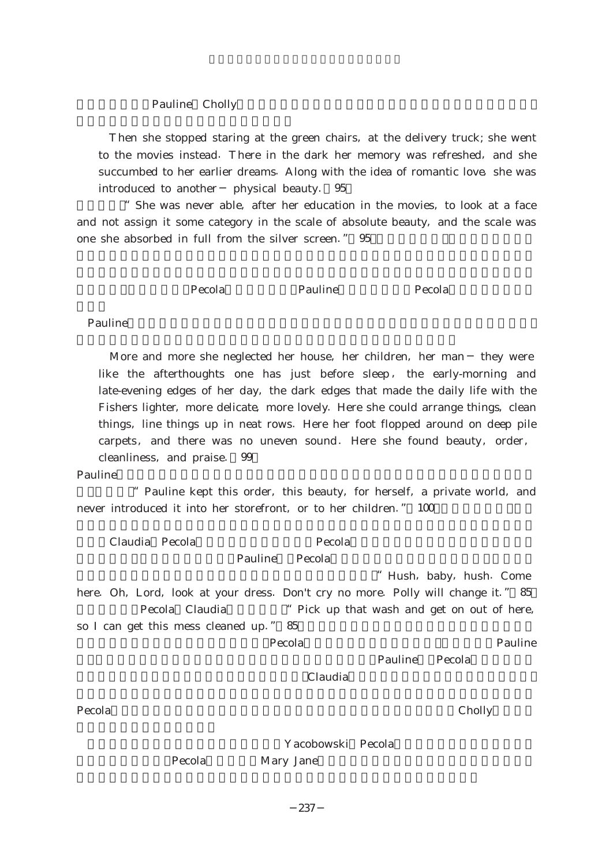## Pauline Cholly

T hen she stopped staring at the green chairs, at the delivery truck; she went to the movies instead. T here in the dark her memory was refreshed, and she succumbed to her earlier dreams. A long with the idea of romantic love, she was introduced to another physical beauty. 95

" She was never able, after her education in the movies, to look at a face and not assign it some category in the scale of absolute beauty, and the scale was one she absorbed in full from the silver screen." 95

<u>Pecola Pauline Pecola</u>

### Pauline しんしゃ しゅうしゅうち しゅうしゅう しゅうしゅう しゅうしゅうしゅう しゅうしゅうしゅ

More and more she neglected her house, her children, her man they were like the afterthoughts one has just before sleep, the early-morning and late-evening edges of her day, the dark edges that made the daily life with the Fishers lighter, more delicate, more lovely. Here she could arrange things, clean things, line things up in neat rows. Here her foot flopped around on deep pile carpets, and there was no uneven sound. Here she found beauty, order, cleanliness, and praise. 99

Pauline しんしゃ しゅうしゅう しゅうしゅう しゅうしゅう しゅうしゅう しゅうしゅうしゅう

" Pauline kept this order, this beauty, for herself, a private world, and never introduced it into her storefront, or to her children."  $100$ 

Claudia Pecola **The Secola** Pecola  $Pauline$  Pecola " Hush, baby, hush. Come here. Oh, Lord, look at your dress. Don't cry no more. Polly will change it." 85 Pecola Claudia  $\qquad$  "Pick up that wash and get on out of here, so I can get this mess cleaned up." $85$ 

くちらしている。<br>アイディアのセンターのアイディアのことには、Pauline

 $\bf Pauline\quad \bf Pacola$ 

 $Claudia$ 

Pecola またには、それにも無理もないことである。<br>これについて、これについては無理もないことであると言える。

Yacobowski Pecola Pecola Mary Jane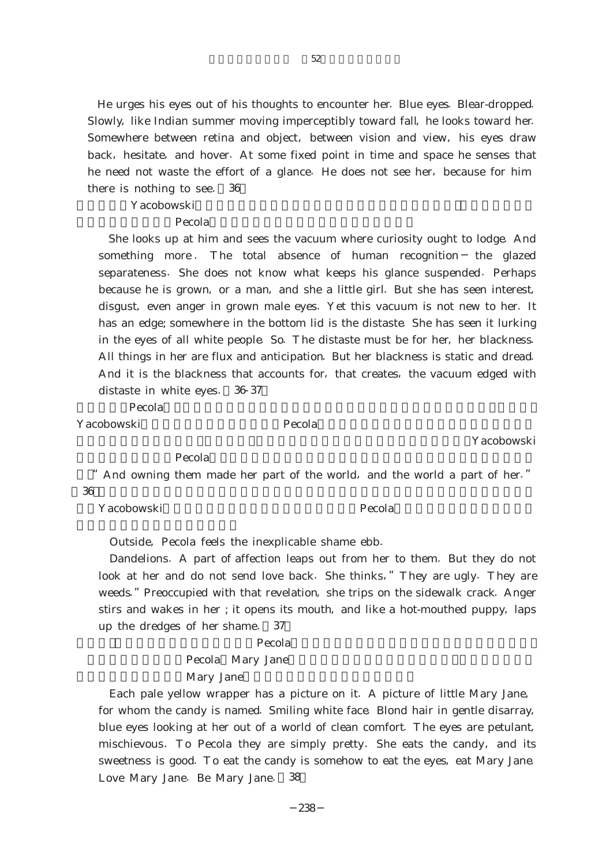$52$ 

He urges his eyes out of his thoughts to encounter her. Blue eyes. Blear-dropped. Slowly, like Indian summer moving imperceptibly toward fall, he looks toward her. Somewhere between retina and object, between vision and view, his eyes draw back, hesitate, and hover. At some fixed point in time and space he senses that he need not waste the effort of a glance. He does not see her, because for him there is nothing to see. 36

Yacobowski

### **Oriental**

She looks up at him and sees the vacuum where curiosity ought to lodge. And something more. The total absence of human recognition the glazed separateness. She does not know what keeps his glance suspended. Perhaps because he is grown, or a man, and she a little girl. But she has seen interest, disgust, even anger in grown male eyes. Y et this vacuum is not new to her. It has an edge; somewhere in the bottom lid is the distaste. She has seen it lurking in the eyes of all white people. So. T he distaste must be for her, her blackness. A ll things in her are flux and anticipation. But her blackness is static and dread. And it is the blackness that accounts for, that creates, the vacuum edged with distaste in white eyes. 36-37

Pecola まちゃくしょうしょうかい しょうしょうしょう アイストランス しょうしゅうしょう

Yacobowski Pecola

**COME Pecola** Secolation in the extension in the extension of the extension of the extension of the extension of the extension of the extension of the extension of the extension of the extension of the extension of the ext

" And owning them made her part of the world, and the world a part of her."  $(36)$ 

**Yacobowski** Pecola

Outside, Pecola feels the inexplicable shame ebb.

Dandelions. A part of affection leaps out from her to them. But they do not look at her and do not send love back. She thinks, "They *are* ugly. They *are* weeds." Preoccupied with that revelation, she trips on the sidewalk crack. Anger stirs and wakes in her ; it opens its mouth, and like a hot-mouthed puppy, laps up the dredges of her shame. 37

 $\bf{Pecola}$ 

Pecola Mary Jane Mary Jane

Each pale yellow wrapper has a picture on it. A picture of little Mary Jane, for whom the candy is named. Smiling white face. Blond hair in gentle disarray, blue eyes looking at her out of a world of clean comfort. The eyes are petulant, mischievous. To Pecola they are simply pretty. She eats the candy, and its sweetness is good. To eat the candy is somehow to eat the eyes, eat Mary Jane. Love Mary Jane. Be Mary Jane. 38

Yacobowski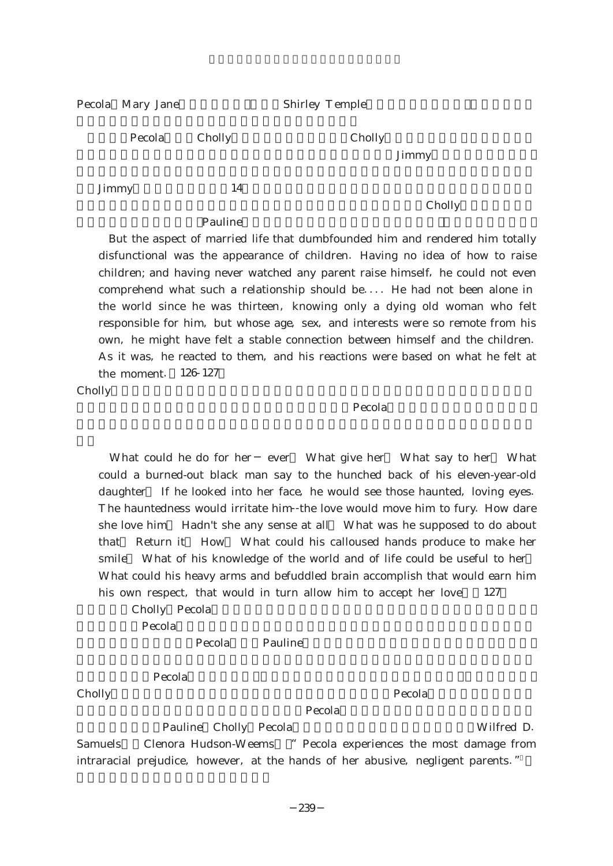Pecola Mary Jane Shirley T emple

Pecola Cholly Cholly Cholly

 $\lim_{n\to\infty}$  14

 $Pauline$ 

But the aspect of married life that dumbfounded him and rendered him totally disfunctional was the appearance of children. Having no idea of how to raise children; and having never watched any parent raise himself, he could not even comprehend what such a relationship should be.... He had not been alone in the world since he was thirteen, knowing only a dying old woman who felt responsible for him, but whose age, sex, and interests were so remote from his own, he might have felt a stable connection between himself and the children. As it was, he reacted to them, and his reactions were based on what he felt at the moment.  $126-127$ 

 $J_{\rm{immy}}$ 

 $\mathbf{Cholly}$ 

Cholly しょうかんしょう こうしょう こうしょう こうしょう こうしょう こうしゅうしゅう こうしゅうしゅう こうしゅうしゅう こうしゅうしゅう こうしゅうしゅう

### $\text{Pecola}$

What could he do for her ever What give her What say to her What could a burned-out black man say to the hunched back of his eleven-year-old daughter If he looked into her face, he would see those haunted, loving eyes. T he hauntedness would irritate him--the love would move him to fury. How dare she love him Hadn't she any sense at all W hat was he supposed to do about that Return it How W hat could his calloused hands produce to make her smile W hat of his knowledge of the world and of life could be useful to her W hat could his heavy arms and befuddled brain accomplish that would earn him his own respect, that would in turn allow him to accept her love  $127$ 

Cholly Pecola

Pecola

**Solution Secola** Pauline **Pauline** Secola

Recola **Pecola** 

Cholly **Example 19** to the control of the Pecola three persons are personal to  $\mathbf{P}\mathbf{ecola}$ 

 $\bf{Pecola}$ 

Pauline Cholly Pecola Wilfred D. Samuels Clenora Hudson-Weems "Pecola experiences the most damage from intraracial prejudice, however, at the hands of her abusive, negligent parents."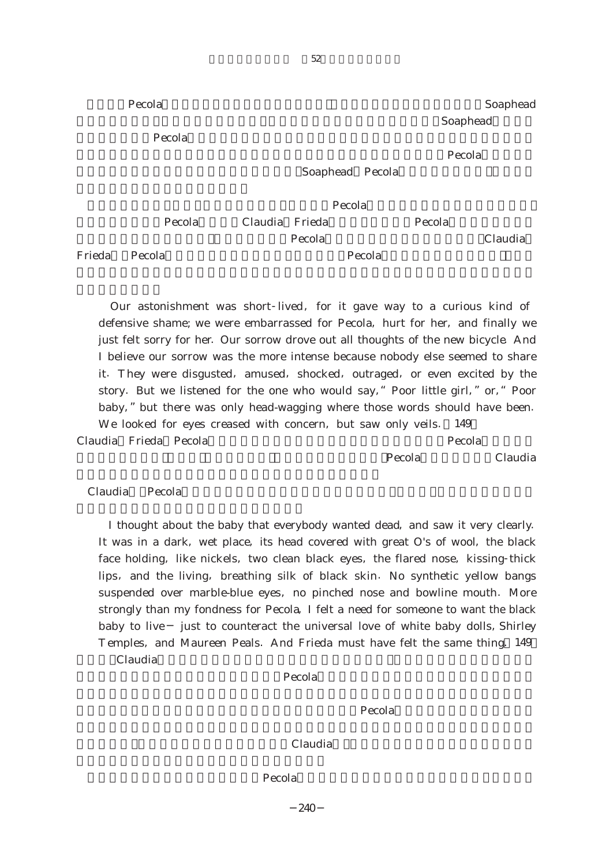|        | Pecola |                |                 |        |          | Soaphead |  |
|--------|--------|----------------|-----------------|--------|----------|----------|--|
|        |        |                |                 |        | Soaphead |          |  |
|        | Pecola |                |                 |        |          |          |  |
|        |        |                |                 |        | Pecola   |          |  |
|        |        |                | Soaphead Pecola |        |          |          |  |
|        |        |                | Pecola          |        |          |          |  |
|        | Pecola | Claudia Frieda |                 |        | Pecola   |          |  |
|        |        |                | Pecola          |        |          | Claudia  |  |
| Frieda | Pecola |                |                 | Pecola |          |          |  |
|        |        |                |                 |        |          |          |  |

 $52$ 

Our astonishment was short-lived, for it gave way to a curious kind of defensive shame; we were embarrassed for Pecola, hurt for her, and finally we just felt sorry for her. Our sorrow drove out all thoughts of the new bicycle. And I believe our sorrow was the more intense because nobody else seemed to share it. They were disgusted, amused, shocked, outraged, or even excited by the story. But we listened for the one who would say, "Poor little girl, " or, "Poor baby," but there was only head-wagging where those words should have been. We looked for eyes creased with concern, but saw only veils. 149 Claudia Frieda Pecola <u>にメタックを受けることができる。これは、それに対することに対することに対することに対することに対することに対することに対することに対することに対することに対す</u>

Claudia Pecola しょうかいと思う しゅうしょう しゅうしゅうしょう しゅうしゅうしょう

I thought about the baby that everybody wanted dead, and saw it very clearly. It was in a dark, wet place, its head covered with great O's of wool, the black face holding, like nickels, two clean black eyes, the flared nose, kissing-thick lips, and the living, breathing silk of black skin. No synthetic yellow bangs suspended over marble-blue eyes, no pinched nose and bowline mouth. More strongly than my fondness for Pecola, I felt a need for someone to want the black baby to live just to counteract the universal love of white baby dolls, Shirley Temples, and Maureen Peals. And Frieda must have felt the same thing. 149  $\bf C$ laudia $\bf C$ 

 $\bf{P}ecola$ 

 $\bf Pecola$ 

### $Claudia$

henda en externa en el estado en el estado en el estado en el estado en el estado en el estado en el estado en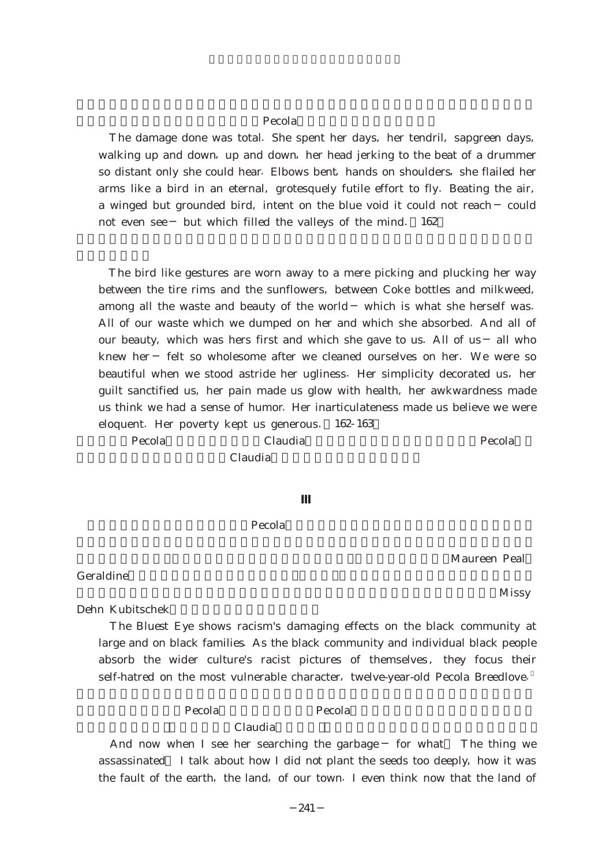#### the Pecola Recola

T he damage done was total. She spent her days, her tendril, sapgreen days, walking up and down, up and down, her head jerking to the beat of a drummer so distant only she could hear. Elbows bent, hands on shoulders, she flailed her arms like a bird in an eternal, grotesquely futile effort to fly. Beating the air, a winged but grounded bird, intent on the blue void it could not reach could not even see but which filled the valleys of the mind. 162

T he bird like gestures are worn away to a mere picking and plucking her way between the tire rims and the sunflowers, between Coke bottles and milkweed, among all the waste and beauty of the world which is what she herself was. A ll of our waste which we dumped on her and which she absorbed. And all of our beauty, which was hers first and which she gave to us. All of us all who knew her felt so wholesome after we cleaned ourselves on her. We were so beautiful when we stood astride her ugliness. Her simplicity decorated us, her guilt sanctified us, her pain made us glow with health, her awkwardness made us think we had a sense of humor. Her inarticulateness made us believe we were eloquent. Her poverty kept us generous. 162-163

こ<mark>Pecola Claudia ここではならない Claudia</mark> これにはない  $Claudia$ 

 $\bf{Pecola}$ 

Maureen Peal

Geraldine またり、そうには、まちらは、まちらに近い美しさを持っているようになりました。

Dehn Kubitschek

*T he Bluest Eye* shows racism's damaging effects on the black community at large and on black families. As the black community and individual black people absorb the wider culture's racist pictures of themselves , they focus their self-hatred on the most vulnerable character, twelve-year-old Pecola Breedlove.

ecola Pecola Pecola Pecola

#### $Claudia$

And now when I see her searching the garbage for what The thing we assassinated I talk about how I did *not* plant the seeds too deeply, how it was the fault of the earth, the land, of our town. I even think now that the land of

on the contract of the contract of the contract of the contract of the contract of the contract of the contract of the contract of the contract of the contract of the contract of the contract of the contract of the contrac